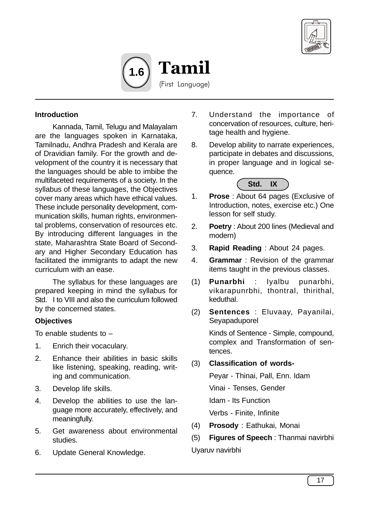



## **Introduction**

Kannada, Tamil, Telugu and Malayalam are the languages spoken in Karnataka, Tamilnadu, Andhra Pradesh and Kerala are of Dravidian family. For the growth and development of the country it is necessary that the languages should be able to imbibe the multifaceted requirements of a society. In the syllabus of these languages, the Objectives cover many areas which have ethical values. These include personality development, communication skills, human rights, environmental problems, conservation of resources etc. By introducing different languages in the state, Maharashtra State Board of Secondary and Higher Secondary Education has facilitated the immigrants to adapt the new curriculum with an ease.

The syllabus for these languages are prepared keeping in mind the syllabus for Std. I to VIII and also the curriculum followed by the concerned states.

## **Objectives**

To enable students to  $-$ 

- 1. Enrich their vocaculary.
- 2. Enhance their abilities in basic skills like listening, speaking, reading, writing and communication.
- 3. Develop life skills.
- 4. Develop the abilities to use the language more accurately, effectively, and meaningfully.
- 5. Get awareness about environmental studies.
- 6. Update General Knowledge.
- 7. Understand the importance of concervation of resources, culture, heritage health and hygiene.
- 8. Develop ability to narrate experiences, participate in debates and discussions, in proper language and in logical sequence.



- 1. **Prose** : About 64 pages (Exclusive of Introduction, notes, exercise etc.) One lesson for self study.
- 2. **Poetry** : About 200 lines (Medieval and modern)
- 3. **Rapid Reading** : About 24 pages.
- 4. **Grammar** : Revision of the grammar items taught in the previous classes.
- (1) **Punarbhi** : Iyalbu punarbhi, vikarapunrbhi, thontral, thirithal, keduthal.
- (2) **Sentences** : Eluvaay, Payanilai, Seyapaduporel

Kinds of Sentence - Simple, compound, complex and Transformation of sentences.

(3) **Classification of words-**

Peyar - Thinai, Pall, Enn. Idam Vinai - Tenses, Gender Idam - Its Function Verbs - Finite, Infinite

(4) **Prosody** : Eathukai, Monai

(5) **Figures of Speech** : Thanmai navirbhi Uyaruv navirbhi